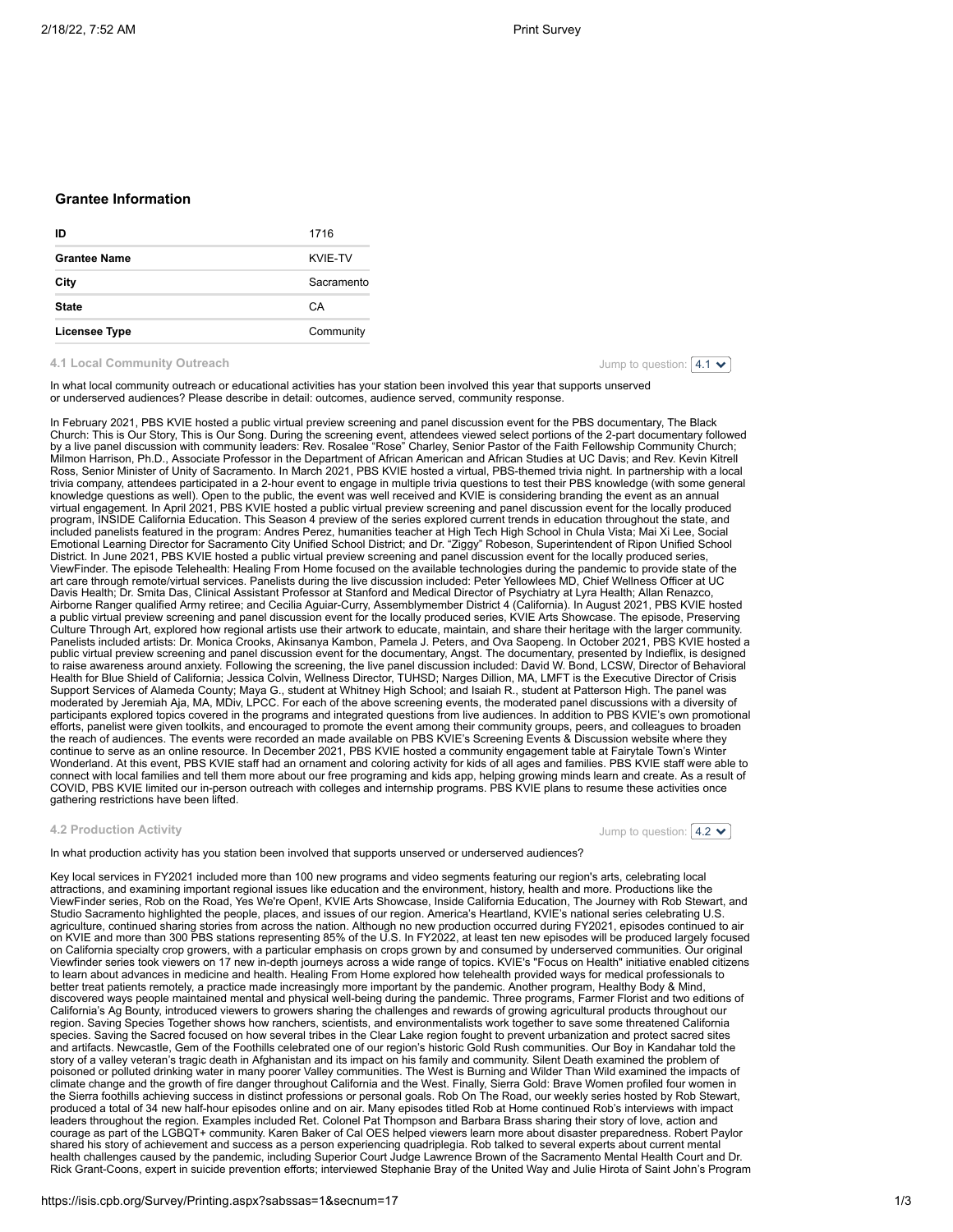# **Grantee Information**

| ID                   | 1716       |
|----------------------|------------|
| <b>Grantee Name</b>  | KVIF-TV    |
| City                 | Sacramento |
| <b>State</b>         | СA         |
| <b>Licensee Type</b> | Community  |

### **4.1 Local Community Outreach**

Jump to question:  $4.1 \times$ 

In what local community outreach or educational activities has your station been involved this year that supports unserved or underserved audiences? Please describe in detail: outcomes, audience served, community response.

In February 2021, PBS KVIE hosted a public virtual preview screening and panel discussion event for the PBS documentary, The Black Church: This is Our Story, This is Our Song. During the screening event, attendees viewed select portions of the 2-part documentary followed by a live panel discussion with community leaders: Rev. Rosalee "Rose" Charley, Senior Pastor of the Faith Fellowship Community Church; Milmon Harrison, Ph.D., Associate Professor in the Department of African American and African Studies at UC Davis; and Rev. Kevin Kitrell Ross, Senior Minister of Unity of Sacramento. In March 2021, PBS KVIE hosted a virtual, PBS-themed trivia night. In partnership with a local trivia company, attendees participated in a 2-hour event to engage in multiple trivia questions to test their PBS knowledge (with some general knowledge questions as well). Open to the public, the event was well received and KVIE is considering branding the event as an annual<br>virtual engagement. In April 2021, PBS KVIE hosted a public virtual preview screening an program, INSIDE California Education. This Season 4 preview of the series explored current trends in education throughout the state, and<br>included panelists featured in the program: Andres Perez, humanities teacher at High Emotional Learning Director for Sacramento City Unified School District; and Dr. "Ziggy" Robeson, Superintendent of Ripon Unified School<br>District. In June 2021, PBS KVIE hosted a public virtual preview screening and panel ViewFinder. The episode Telehealth: Healing From Home focused on the available technologies during the pandemic to provide state of the<br>art care through remote/virtual services. Panelists during the live discussion include Davis Health; Dr. Smita Das, Clinical Assistant Professor at Stanford and Medical Director of Psychiatry at Lyra Health; Allan Renazco,<br>Airborne Ranger qualified Army retiree; and Cecilia Aguiar-Curry, Assemblymember Distr a public virtual preview screening and panel discussion event for the locally produced series, KVIE Arts Showcase. The episode, Preserving Culture Through Art, explored how regional artists use their artwork to educate, maintain, and share their heritage with the larger community. Panelists included artists: Dr. Monica Crooks, Akinsanya Kambon, Pamela J. Peters, and Ova Saopeng. In October 2021, PBS KVIE hosted a public virtual preview screening and panel discussion event for the documentary, Angst. The documentary, presented by Indieflix, is designed<br>to raise awareness around anxiety. Following the screening, the live panel discus Health for Blue Shield of California; Jessica Colvin, Wellness Director, TUHSD; Narges Dillion, MA, LMFT is the Executive Director of Crisis Support Services of Alameda County; Maya G., student at Whitney High School; and Isaiah R., student at Patterson High. The panel was moderated by Jeremiah Aja, MA, MDiv, LPCC. For each of the above screening events, the moderated panel discussions with a diversity of participants explored topics covered in the programs and integrated questions from live audiences. In addition to PBS KVIE's own promotional efforts, panelist were given toolkits, and encouraged to promote the event among their community groups, peers, and colleagues to broaden<br>the reach of audiences. The events were recorded an made available on PBS KVIE's Scr continue to serve as an online resource. In December 2021, PBS KVIE hosted a community engagement table at Fairytale Town's Winter Wonderland. At this event, PBS KVIE staff had an ornament and coloring activity for kids of all ages and families. PBS KVIE staff were able to connect with local families and tell them more about our free programing and kids app, helping growing minds learn and create. As a result of COVID, PBS KVIE limited our in-person outreach with colleges and internship programs. PBS KVIE plans to resume these activities once gathering restrictions have been lifted.

## **4.2 Production Activity**

Jump to question:  $\boxed{4.2 \times}$ 

In what production activity has you station been involved that supports unserved or underserved audiences?

Key local services in FY2021 included more than 100 new programs and video segments featuring our region's arts, celebrating local attractions, and examining important regional issues like education and the environment, history, health and more. Productions like the ViewFinder series, Rob on the Road, Yes We're Open!, KVIE Arts Showcase, Inside California Education, The Journey with Rob Stewart, and Studio Sacramento highlighted the people, places, and issues of our region. America's Heartland, KVIE's national series celebrating U.S.<br>agriculture, continued sharing stories from across the nation. Although no new produc on KVIE and more than 300 PBS stations representing 85% of the U.S. In FY2022, at least ten new episodes will be produced largely focused on California specialty crop growers, with a particular emphasis on crops grown by and consumed by underserved communities. Our original Viewfinder series took viewers on 17 new in-depth journeys across a wide range of topics. KVIE's "Focus on Health" initiative enabled citizens<br>to learn about advances in medicine and health. Healing From Home explored how better treat patients remotely, a practice made increasingly more important by the pandemic. Another program, Healthy Body & Mind,<br>discovered ways people maintained mental and physical well-being during the pandemic. Three California's Ag Bounty, introduced viewers to growers sharing the challenges and rewards of growing agricultural products throughout our<br>region. Saving Species Together shows how ranchers, scientists, and environmentalists species. Saving the Sacred focused on how several tribes in the Clear Lake region fought to prevent urbanization and protect sacred sites and artifacts. Newcastle, Gem of the Foothills celebrated one of our region's historic Gold Rush communities. Our Boy in Kandahar told the story of a valley veteran's tragic death in Afghanistan and its impact on his family and community. Silent Death examined the problem of poisoned or polluted drinking water in many poorer Valley communities. The West is Burning and Wilder Than Wild examined the impacts of climate change and the growth of fire danger throughout California and the West. Finally, Sierra Gold: Brave Women profiled four women in the Sierra foothills achieving success in distinct professions or personal goals. Rob On The Road, our weekly series hosted by Rob Stewart, produced a total of 34 new half-hour episodes online and on air. Many episodes titled Rob at Home continued Rob's interviews with impact leaders throughout the region. Examples included Ret. Colonel Pat Thompson and Barbara Brass sharing their story of love, action and courage as part of the LGBQT+ community. Karen Baker of Cal OES helped viewers learn more about disaster preparedness. Robert Paylor shared his story of achievement and success as a person experiencing quadriplegia. Rob talked to several experts about current mental health challenges caused by the pandemic, including Superior Court Judge Lawrence Brown of the Sacramento Mental Health Court and Dr. Rick Grant-Coons, expert in suicide prevention efforts; interviewed Stephanie Bray of the United Way and Julie Hirota of Saint John's Program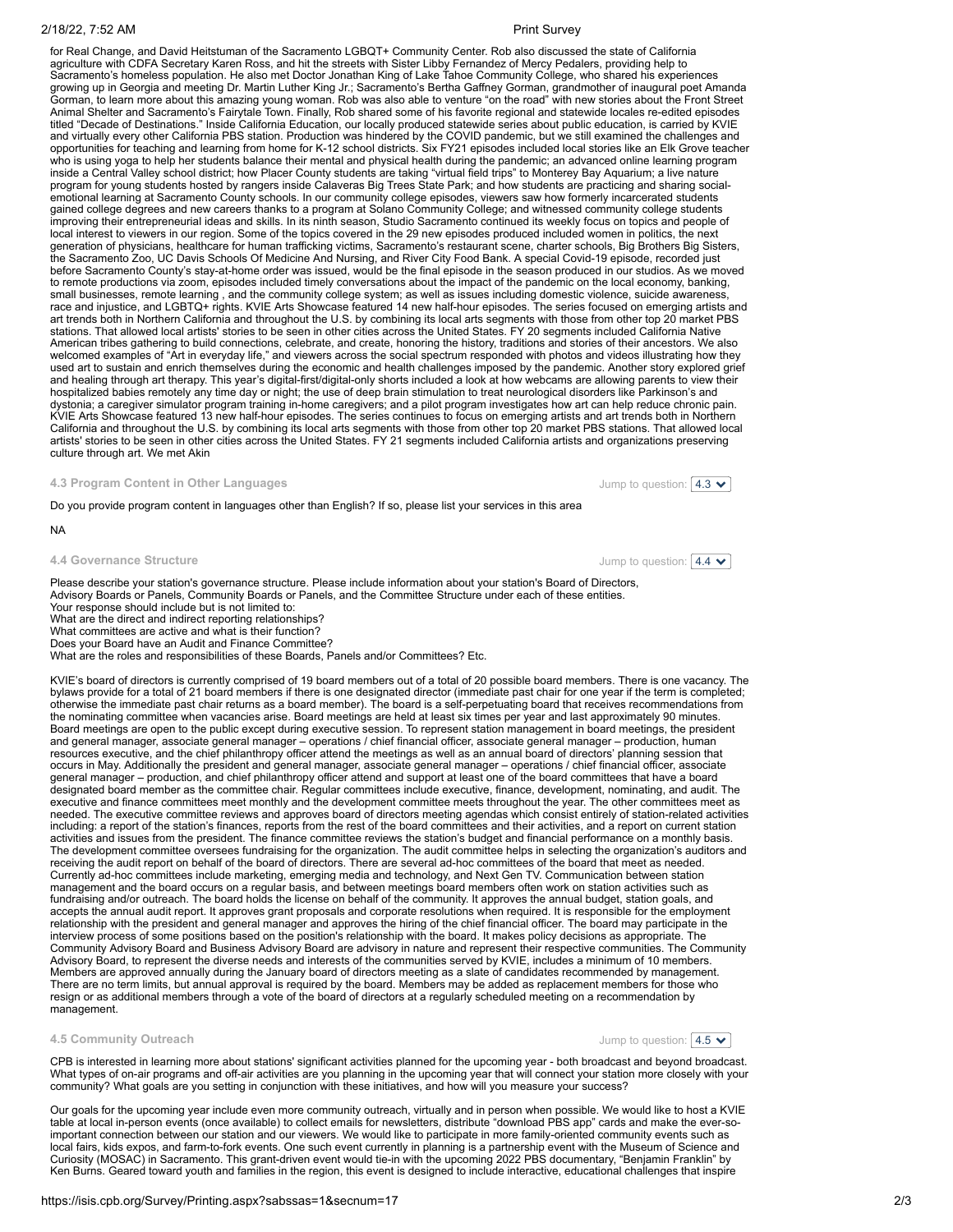### 2/18/22, 7:52 AM Print Survey

for Real Change, and David Heitstuman of the Sacramento LGBQT+ Community Center. Rob also discussed the state of California agriculture with CDFA Secretary Karen Ross, and hit the streets with Sister Libby Fernandez of Mercy Pedalers, providing help to Sacramento's homeless population. He also met Doctor Jonathan King of Lake Tahoe Community College, who shared his experiences growing up in Georgia and meeting Dr. Martin Luther King Jr.; Sacramento's Bertha Gaffney Gorman, grandmother of inaugural poet Amanda<br>Gorman, to learn more about this amazing young woman. Rob was also able to venture "on titled "Decade of Destinations." Inside California Education, our locally produced statewide series about public education, is carried by KVIE and virtually every other California PBS station. Production was hindered by the COVID pandemic, but we still examined the challenges and opportunities for teaching and learning from home for K-12 school districts. Six FY21 episodes included local stories like an Elk Grove teacher who is using yoga to help her students balance their mental and physical health during the pandemic; an advanced online learning program<br>inside a Central Valley school district; how Placer County students are taking "virtu emotional learning at Sacramento County schools. In our community college episodes, viewers saw how formerly incarcerated students gained college degrees and new careers thanks to a program at Solano Community College; and witnessed community college students improving their entrepreneurial ideas and skills. In its ninth season, Studio Sacramento continued its weekly focus on topics and people of local interest to viewers in our region. Some of the topics covered in the 29 new episodes produced included women in politics, the next generation of physicians, healthcare for human trafficking victims, Sacramento's restaurant scene, charter schools, Big Brothers Big Sisters, the Sacramento Zoo, UC Davis Schools Of Medicine And Nursing, and River City Food Bank. A special Covid-19 episode, recorded just before Sacramento County's stay-at-home order was issued, would be the final episode in the season produced in our studios. As we moved to remote productions via zoom, episodes included timely conversations about the impact of the pandemic on the local economy, banking, small businesses, remote learning , and the community college system; as well as issues including domestic violence, suicide awareness, race and injustice, and LGBTQ+ rights. KVIE Arts Showcase featured 14 new half-hour episodes. The series focused on emerging artists and<br>art trends both in Northern California and throughout the U.S. by combining its local stations. That allowed local artists' stories to be seen in other cities across the United States. FY 20 segments included California Native American tribes gathering to build connections, celebrate, and create, honoring the history, traditions and stories of their ancestors. We also welcomed examples of "Art in everyday life," and viewers across the social spectrum responded with photos and videos illustrating how they used art to sustain and enrich themselves during the economic and health challenges imposed by the pandemic. Another story explored grief and healing through art therapy. This year's digital-first/digital-only shorts included a look at how webcams are allowing parents to view their hospitalized babies remotely any time day or night; the use of deep brain stimulation to treat neurological disorders like Parkinson's and dystonia; a caregiver simulator program training in-home caregivers; and a pilot program investigates how art can help reduce chronic pain. KVIE Arts Showcase featured 13 new half-hour episodes. The series continues to focus on emerging artists and art trends both in Northern California and throughout the U.S. by combining its local arts segments with those from other top 20 market PBS stations. That allowed local<br>artists' stories to be seen in other cities across the United States. FY 21 segme culture through art. We met Akin

#### **4.3 Program Content in Other Languages**

Do you provide program content in languages other than English? If so, please list your services in this area

#### NA

**4.4 Governance Structure**

Please describe your station's governance structure. Please include information about your station's Board of Directors, Advisory Boards or Panels, Community Boards or Panels, and the Committee Structure under each of these entities. Your response should include but is not limited to: What are the direct and indirect reporting relationships? What committees are active and what is their function? Does your Board have an Audit and Finance Committee? What are the roles and responsibilities of these Boards, Panels and/or Committees? Etc.

KVIE's board of directors is currently comprised of 19 board members out of a total of 20 possible board members. There is one vacancy. The bylaws provide for a total of 21 board members if there is one designated director (immediate past chair for one year if the term is completed; otherwise the immediate past chair returns as a board member). The board is a self-perpetuating board that receives recommendations from the nominating committee when vacancies arise. Board meetings are held at least six times per year and last approximately 90 minutes. Board meetings are open to the public except during executive session. To represent station management in board meetings, the president and general manager, associate general manager – operations / chief financial officer, associate general manager – production, human<br>resources executive, and the chief philanthropy officer attend the meetings as well as an occurs in May. Additionally the president and general manager, associate general manager – operations / chief financial officer, associate<br>general manager – production, and chief philanthropy officer attend and support at designated board member as the committee chair. Regular committees include executive, finance, development, nominating, and audit. The<br>executive and finance committees meet monthly and the development committee meets throu needed. The executive committee reviews and approves board of directors meeting agendas which consist entirely of station-related activities including: a report of the station's finances, reports from the rest of the board committees and their activities, and a report on current station activities and issues from the president. The finance committee reviews the station's budget and financial performance on a monthly basis. The development committee oversees fundraising for the organization. The audit committee helps in selecting the organization's auditors and<br>receiving the audit report on behalf of the board of directors. There are several Currently ad-hoc committees include marketing, emerging media and technology, and Next Gen TV. Communication between station management and the board occurs on a regular basis, and between meetings board members often work on station activities such as fundraising and/or outreach. The board holds the license on behalf of the community. It approves the annual budget, station goals, and accepts the annual audit report. It approves grant proposals and corporate resolutions when required. It is responsible for the employment relationship with the president and general manager and approves the hiring of the chief financial officer. The board may participate in the interview process of some positions based on the position's relationship with the board. It makes policy decisions as appropriate. The Community Advisory Board and Business Advisory Board are advisory in nature and represent their respective communities. The Community Advisory Board, to represent the diverse needs and interests of the communities served by KVIE, includes a minimum of 10 members. Members are approved annually during the January board of directors meeting as a slate of candidates recommended by management. There are no term limits, but annual approval is required by the board. Members may be added as replacement members for those who resign or as additional members through a vote of the board of directors at a regularly scheduled meeting on a recommendation by management.

#### **4.5 Community Outreach**

Jump to question:  $4.5 \times$ 

CPB is interested in learning more about stations' significant activities planned for the upcoming year - both broadcast and beyond broadcast. What types of on-air programs and off-air activities are you planning in the upcoming year that will connect your station more closely with your community? What goals are you setting in conjunction with these initiatives, and how will you measure your success?

Our goals for the upcoming year include even more community outreach, virtually and in person when possible. We would like to host a KVIE<br>table at local in-person events (once available) to collect emails for newsletters, important connection between our station and our viewers. We would like to participate in more family-oriented community events such as local fairs, kids expos, and farm-to-fork events. One such event currently in planning is a partnership event with the Museum of Science and Curiosity (MOSAC) in Sacramento. This grant-driven event would tie-in with the upcoming 2022 PBS documentary, "Benjamin Franklin" by<br>Ken Burns. Geared toward youth and families in the region, this event is designed to incl

Jump to question:  $4.4 \times$ 

Jump to question:  $\boxed{4.3 \times}$